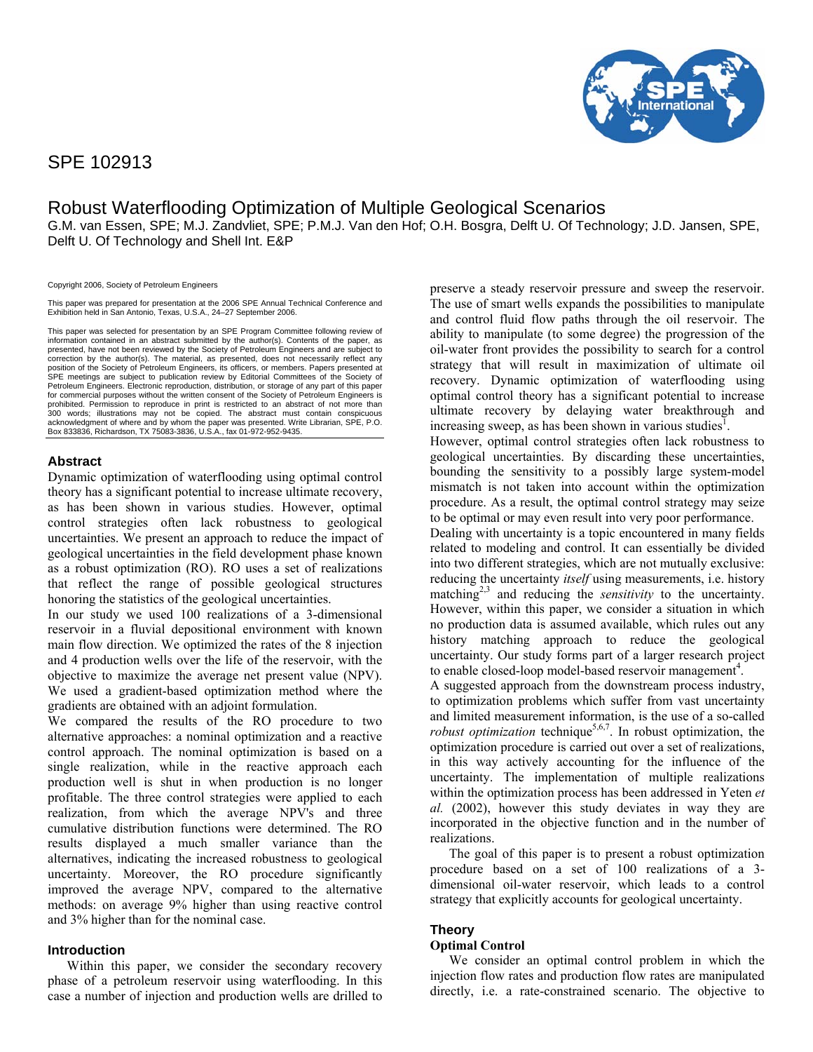



# Robust Waterflooding Optimization of Multiple Geological Scenarios

G.M. van Essen, SPE; M.J. Zandvliet, SPE; P.M.J. Van den Hof; O.H. Bosgra, Delft U. Of Technology; J.D. Jansen, SPE, Delft U. Of Technology and Shell Int. E&P

Copyright 2006, Society of Petroleum Engineers

This paper was prepared for presentation at the 2006 SPE Annual Technical Conference and Exhibition held in San Antonio, Texas, U.S.A., 24–27 September 2006.

This paper was selected for presentation by an SPE Program Committee following review of information contained in an abstract submitted by the author(s). Contents of the paper, as presented, have not been reviewed by the Society of Petroleum Engineers and are subject to correction by the author(s). The material, as presented, does not necessarily reflect any<br>position of the Society of Petroleum Engineers, its officers, or members. Papers presented at<br>SPE meetings are subject to publicatio Petroleum Engineers. Electronic reproduction, distribution, or storage of any part of this paper for commercial purposes without the written consent of the Society of Petroleum Engineers is prohibited. Permission to reproduce in print is restricted to an abstract of not more than .<br>300 words; illustrations may not be copied. The abstract must contain conspicuous acknowledgment of where and by whom the paper was presented. Write Librarian, SPE, P.O. Box 833836, Richardson, TX 75083-3836, U.S.A., fax 01-972-952-9435.

## **Abstract**

Dynamic optimization of waterflooding using optimal control theory has a significant potential to increase ultimate recovery, as has been shown in various studies. However, optimal control strategies often lack robustness to geological uncertainties. We present an approach to reduce the impact of geological uncertainties in the field development phase known as a robust optimization (RO). RO uses a set of realizations that reflect the range of possible geological structures honoring the statistics of the geological uncertainties.

In our study we used 100 realizations of a 3-dimensional reservoir in a fluvial depositional environment with known main flow direction. We optimized the rates of the 8 injection and 4 production wells over the life of the reservoir, with the objective to maximize the average net present value (NPV). We used a gradient-based optimization method where the gradients are obtained with an adjoint formulation.

We compared the results of the RO procedure to two alternative approaches: a nominal optimization and a reactive control approach. The nominal optimization is based on a single realization, while in the reactive approach each production well is shut in when production is no longer profitable. The three control strategies were applied to each realization, from which the average NPV's and three cumulative distribution functions were determined. The RO results displayed a much smaller variance than the alternatives, indicating the increased robustness to geological uncertainty. Moreover, the RO procedure significantly improved the average NPV, compared to the alternative methods: on average 9% higher than using reactive control and 3% higher than for the nominal case.

# **Introduction**

Within this paper, we consider the secondary recovery phase of a petroleum reservoir using waterflooding. In this case a number of injection and production wells are drilled to preserve a steady reservoir pressure and sweep the reservoir. The use of smart wells expands the possibilities to manipulate and control fluid flow paths through the oil reservoir. The ability to manipulate (to some degree) the progression of the oil-water front provides the possibility to search for a control strategy that will result in maximization of ultimate oil recovery. Dynamic optimization of waterflooding using optimal control theory has a significant potential to increase ultimate recovery by delaying water breakthrough and increasing sweep, as has been shown in various studies<sup>1</sup>.

However, optimal control strategies often lack robustness to geological uncertainties. By discarding these uncertainties, bounding the sensitivity to a possibly large system-model mismatch is not taken into account within the optimization procedure. As a result, the optimal control strategy may seize to be optimal or may even result into very poor performance.

Dealing with uncertainty is a topic encountered in many fields related to modeling and control. It can essentially be divided into two different strategies, which are not mutually exclusive: reducing the uncertainty *itself* using measurements, i.e. history matching<sup>2,3</sup> and reducing the *sensitivity* to the uncertainty. However, within this paper, we consider a situation in which no production data is assumed available, which rules out any history matching approach to reduce the geological uncertainty. Our study forms part of a larger research project to enable closed-loop model-based reservoir management<sup>4</sup>.

A suggested approach from the downstream process industry, to optimization problems which suffer from vast uncertainty and limited measurement information, is the use of a so-called *robust optimization* technique<sup>5,6,7</sup>. In robust optimization, the optimization procedure is carried out over a set of realizations, in this way actively accounting for the influence of the uncertainty. The implementation of multiple realizations within the optimization process has been addressed in Yeten *et al.* (2002), however this study deviates in way they are incorporated in the objective function and in the number of realizations.

The goal of this paper is to present a robust optimization procedure based on a set of 100 realizations of a 3 dimensional oil-water reservoir, which leads to a control strategy that explicitly accounts for geological uncertainty.

# **Theory**

## **Optimal Control**

We consider an optimal control problem in which the injection flow rates and production flow rates are manipulated directly, i.e. a rate-constrained scenario. The objective to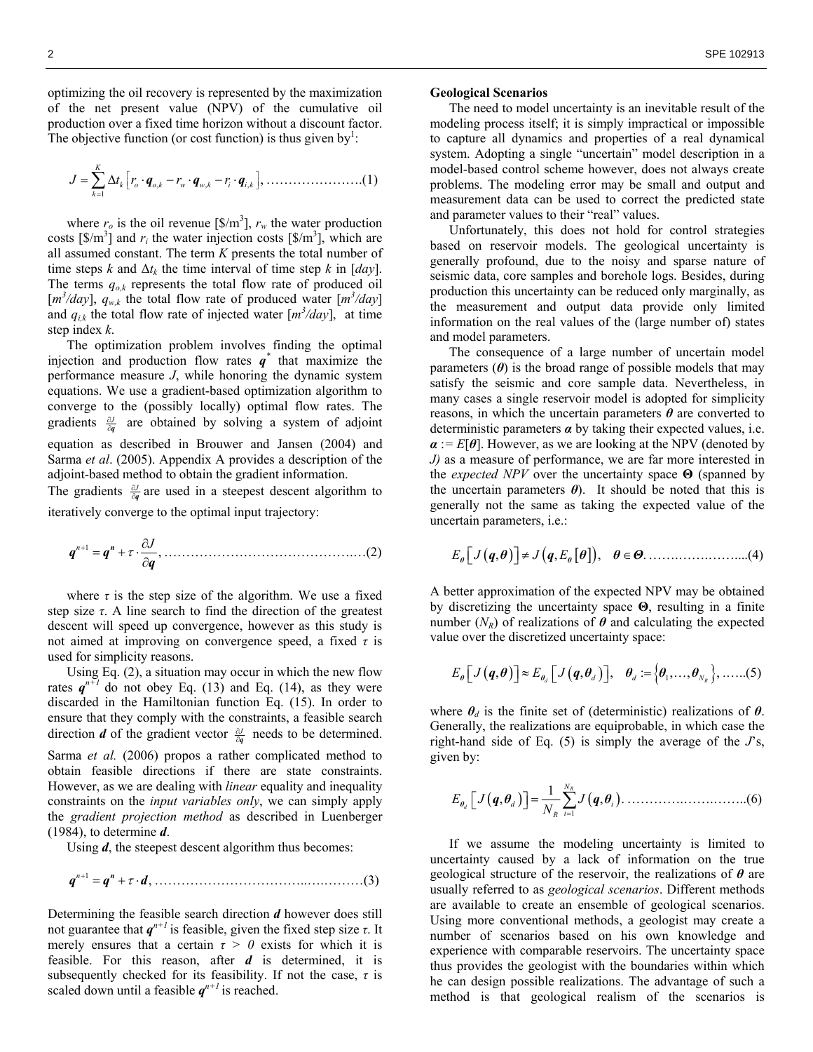optimizing the oil recovery is represented by the maximization of the net present value (NPV) of the cumulative oil production over a fixed time horizon without a discount factor. The objective function (or cost function) is thus given by<sup>1</sup>:

1 *K k o ok w wk i ik k J tr r r* ⎡ ⎤ ⎢ ⎥ , ,, ⎣ ⎦ <sup>=</sup> = ∆ ⋅ − ⋅ −⋅ , ∑ *q qq* ………………….(1)

where  $r_o$  is the oil revenue [ $\gamma/m^3$ ],  $r_w$  the water production costs  $[\frac{1}{3} \text{ and } r_i$  the water injection costs  $[\frac{1}{3} \text{ and } r_i$  which are all assumed constant. The term *K* presents the total number of time steps *k* and  $\Delta t_k$  the time interval of time step *k* in [*day*]. The terms  $q_{o,k}$  represents the total flow rate of produced oil [ $m^3$ /*day*],  $q_{w,k}$  the total flow rate of produced water [ $m^3$ /*day*] and  $q_{i,k}$  the total flow rate of injected water  $[m^3/day]$ , at time step index *k*.

The optimization problem involves finding the optimal injection and production flow rates  $q^*$  that maximize the performance measure *J*, while honoring the dynamic system equations. We use a gradient-based optimization algorithm to converge to the (possibly locally) optimal flow rates. The gradients  $\frac{\partial J}{\partial q}$  are obtained by solving a system of adjoint equation as described in Brouwer and Jansen (2004) and Sarma *et al*. (2005). Appendix A provides a description of the adjoint-based method to obtain the gradient information.

The gradients  $\frac{\partial J}{\partial q}$  are used in a steepest descent algorithm to iteratively converge to the optimal input trajectory:

<sup>1</sup> , *<sup>n</sup> <sup>J</sup>* <sup>τ</sup> <sup>+</sup> <sup>∂</sup> = +⋅ ∂ *<sup>n</sup> q q q* …………………………………….…(2)

where  $\tau$  is the step size of the algorithm. We use a fixed step size *τ*. A line search to find the direction of the greatest descent will speed up convergence, however as this study is not aimed at improving on convergence speed, a fixed *τ* is used for simplicity reasons.

Using Eq. (2), a situation may occur in which the new flow rates  $q^{n+1}$  do not obey Eq. (13) and Eq. (14), as they were discarded in the Hamiltonian function Eq. (15). In order to ensure that they comply with the constraints, a feasible search direction *d* of the gradient vector  $\frac{\partial J}{\partial q}$  needs to be determined. Sarma *et al.* (2006) propos a rather complicated method to obtain feasible directions if there are state constraints. However, as we are dealing with *linear* equality and inequality constraints on the *input variables only*, we can simply apply the *gradient projection method* as described in Luenberger (1984), to determine *d*.

Using *d*, the steepest descent algorithm thus becomes:

$$
q^{n+1} = q^n + \tau \cdot d, \quad (3)
$$

Determining the feasible search direction *d* however does still not guarantee that  $q^{n+1}$  is feasible, given the fixed step size *τ*. It merely ensures that a certain  $\tau > 0$  exists for which it is feasible. For this reason, after *d* is determined, it is subsequently checked for its feasibility. If not the case,  $\tau$  is scaled down until a feasible  $q^{n+1}$  is reached.

### **Geological Scenarios**

The need to model uncertainty is an inevitable result of the modeling process itself; it is simply impractical or impossible to capture all dynamics and properties of a real dynamical system. Adopting a single "uncertain" model description in a model-based control scheme however, does not always create problems. The modeling error may be small and output and measurement data can be used to correct the predicted state and parameter values to their "real" values.

Unfortunately, this does not hold for control strategies based on reservoir models. The geological uncertainty is generally profound, due to the noisy and sparse nature of seismic data, core samples and borehole logs. Besides, during production this uncertainty can be reduced only marginally, as the measurement and output data provide only limited information on the real values of the (large number of) states and model parameters.

The consequence of a large number of uncertain model parameters  $(\theta)$  is the broad range of possible models that may satisfy the seismic and core sample data. Nevertheless, in many cases a single reservoir model is adopted for simplicity reasons, in which the uncertain parameters *θ* are converted to deterministic parameters *α* by taking their expected values, i.e.  $\alpha$  := *E*[ $\theta$ ]. However, as we are looking at the NPV (denoted by *J)* as a measure of performance, we are far more interested in the *expected NPV* over the uncertainty space **Θ** (spanned by the uncertain parameters  $\theta$ ). It should be noted that this is generally not the same as taking the expected value of the uncertain parameters, i.e.:

$$
E_{\theta}\big[J\big(q,\theta\big)\big]\neq J\big(q,E_{\theta}\big[\theta\big]\big),\quad \theta\in\Theta.
$$
 (4)

A better approximation of the expected NPV may be obtained by discretizing the uncertainty space **Θ**, resulting in a finite number  $(N_R)$  of realizations of  $\theta$  and calculating the expected value over the discretized uncertainty space:

$$
E_{\theta}\big[J\big(q,\theta\big)\big]\approx E_{\theta_d}\big[J\big(q,\theta_d\big)\big], \quad \theta_d:=\big\{\theta_1,\ldots,\theta_{N_R}\big\},\ldots\ldots(5)
$$

where  $\theta_d$  is the finite set of (deterministic) realizations of  $\theta$ . Generally, the realizations are equiprobable, in which case the right-hand side of Eq. (5) is simply the average of the *J*'s, given by:

( ) ( ) 1 <sup>1</sup> , ,. *<sup>R</sup> d N d i R i EJ J N* <sup>=</sup> ⎡ ⎤ <sup>=</sup> *<sup>θ</sup>* ⎣ ⎦ *<sup>q</sup> <sup>θ</sup>* ∑ *<sup>q</sup> <sup>θ</sup>* ………….…….……..(6)

If we assume the modeling uncertainty is limited to uncertainty caused by a lack of information on the true geological structure of the reservoir, the realizations of *θ* are usually referred to as *geological scenarios*. Different methods are available to create an ensemble of geological scenarios. Using more conventional methods, a geologist may create a number of scenarios based on his own knowledge and experience with comparable reservoirs. The uncertainty space thus provides the geologist with the boundaries within which he can design possible realizations. The advantage of such a method is that geological realism of the scenarios is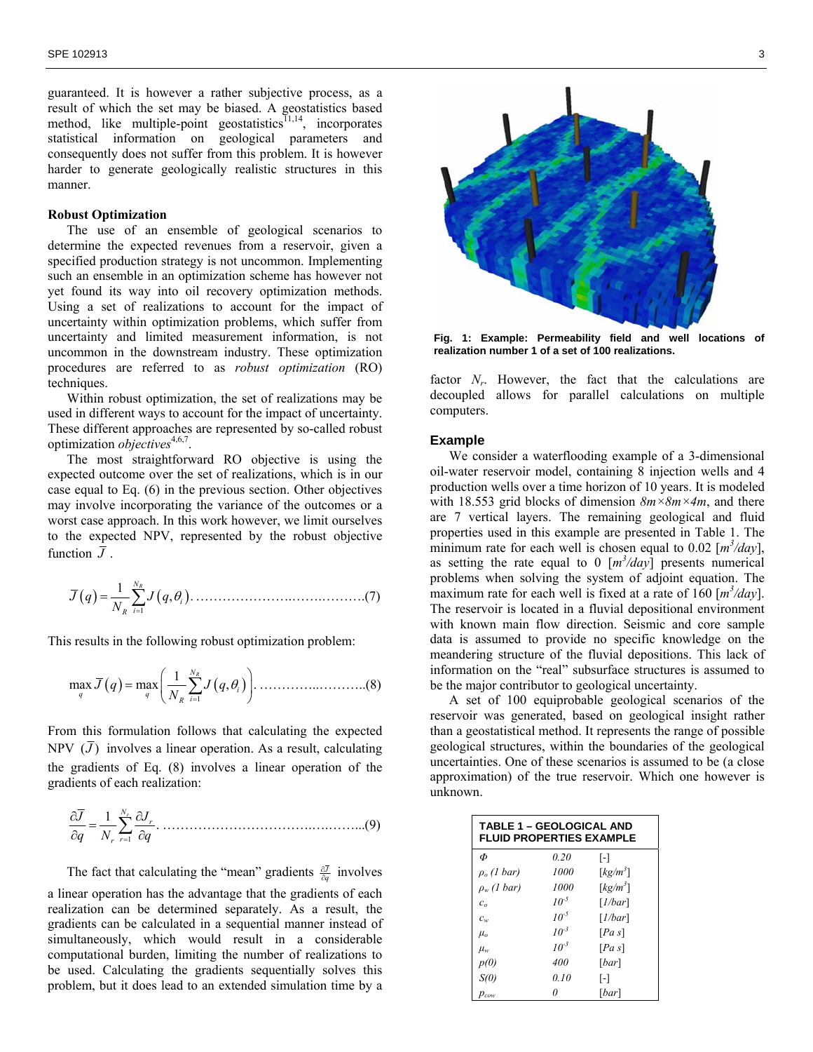guaranteed. It is however a rather subjective process, as a result of which the set may be biased. A geostatistics based method, like multiple-point geostatistics<sup>11,14</sup>, incorporates statistical information on geological parameters and consequently does not suffer from this problem. It is however harder to generate geologically realistic structures in this manner.

#### **Robust Optimization**

The use of an ensemble of geological scenarios to determine the expected revenues from a reservoir, given a specified production strategy is not uncommon. Implementing such an ensemble in an optimization scheme has however not yet found its way into oil recovery optimization methods. Using a set of realizations to account for the impact of uncertainty within optimization problems, which suffer from uncertainty and limited measurement information, is not uncommon in the downstream industry. These optimization procedures are referred to as *robust optimization* (RO) techniques.

Within robust optimization, the set of realizations may be used in different ways to account for the impact of uncertainty. These different approaches are represented by so-called robust optimization *objectives*<sup>4,6,7</sup>.

The most straightforward RO objective is using the expected outcome over the set of realizations, which is in our case equal to Eq. (6) in the previous section. Other objectives may involve incorporating the variance of the outcomes or a worst case approach. In this work however, we limit ourselves to the expected NPV, represented by the robust objective function  $\overline{J}$ .

( ) ( ) 1 <sup>1</sup> , . <sup>θ</sup> = <sup>=</sup> ∑ *NR i R i Jq Jq <sup>N</sup>* ………………….…….……….(7)

This results in the following robust optimization problem:

( ) ( ) 1 1 max max , . θ = ⎛ ⎞ <sup>=</sup> ⎜ ⎟ ⎝ ⎠ <sup>∑</sup> *NR <sup>i</sup> q q <sup>R</sup> <sup>i</sup> Jq Jq <sup>N</sup>* …………..………..(8)

From this formulation follows that calculating the expected NPV  $(\bar{J})$  involves a linear operation. As a result, calculating the gradients of Eq. (8) involves a linear operation of the gradients of each realization:

1 1 *Nr r r r J J qN q* <sup>=</sup> <sup>∂</sup> <sup>∂</sup> = . ∂ ∂ <sup>∑</sup> …………………………….….……...(9)

The fact that calculating the "mean" gradients  $\frac{\partial \bar{J}}{\partial q}$  involves

a linear operation has the advantage that the gradients of each realization can be determined separately. As a result, the gradients can be calculated in a sequential manner instead of simultaneously, which would result in a considerable computational burden, limiting the number of realizations to be used. Calculating the gradients sequentially solves this problem, but it does lead to an extended simulation time by a



**Fig. 1: Example: Permeability field and well locations of realization number 1 of a set of 100 realizations.** 

factor *Nr*. However, the fact that the calculations are decoupled allows for parallel calculations on multiple computers.

#### **Example**

We consider a waterflooding example of a 3-dimensional oil-water reservoir model, containing 8 injection wells and 4 production wells over a time horizon of 10 years. It is modeled with 18.553 grid blocks of dimension *8m×8m×4m*, and there are 7 vertical layers. The remaining geological and fluid properties used in this example are presented in Table 1. The minimum rate for each well is chosen equal to 0.02  $[m^3/day]$ , as setting the rate equal to 0  $[m^3/day]$  presents numerical problems when solving the system of adjoint equation. The maximum rate for each well is fixed at a rate of 160  $[m^3/day]$ . The reservoir is located in a fluvial depositional environment with known main flow direction. Seismic and core sample data is assumed to provide no specific knowledge on the meandering structure of the fluvial depositions. This lack of information on the "real" subsurface structures is assumed to be the major contributor to geological uncertainty.

A set of 100 equiprobable geological scenarios of the reservoir was generated, based on geological insight rather than a geostatistical method. It represents the range of possible geological structures, within the boundaries of the geological uncertainties. One of these scenarios is assumed to be (a close approximation) of the true reservoir. Which one however is unknown.

| TABLE 1 – GEOLOGICAL AND<br><b>FLUID PROPERTIES EXAMPLE</b> |           |                         |  |  |
|-------------------------------------------------------------|-----------|-------------------------|--|--|
| Φ                                                           | 0.20      | -1                      |  |  |
| $\rho_o$ (1 bar)                                            | 1000      | $\lceil k g/m^3 \rceil$ |  |  |
| $\rho_w$ (1 bar)                                            | 1000      | $\lceil k g/m^3 \rceil$ |  |  |
| $c_{\alpha}$                                                | $10^{-5}$ | [1/bar]                 |  |  |
| $c_{w}$                                                     | $10^{-5}$ | [1/bar]                 |  |  |
| $\mu_{o}$                                                   | $10^{-3}$ | [Pa s]                  |  |  |
| $\mu_w$                                                     | $10^{-3}$ | [Pa s]                  |  |  |
| p(0)                                                        | 400       | [bar]                   |  |  |
| S(0)                                                        | 0.10      | [-]                     |  |  |
| $p_{\textit{cow}}$                                          | $\theta$  | [bar]                   |  |  |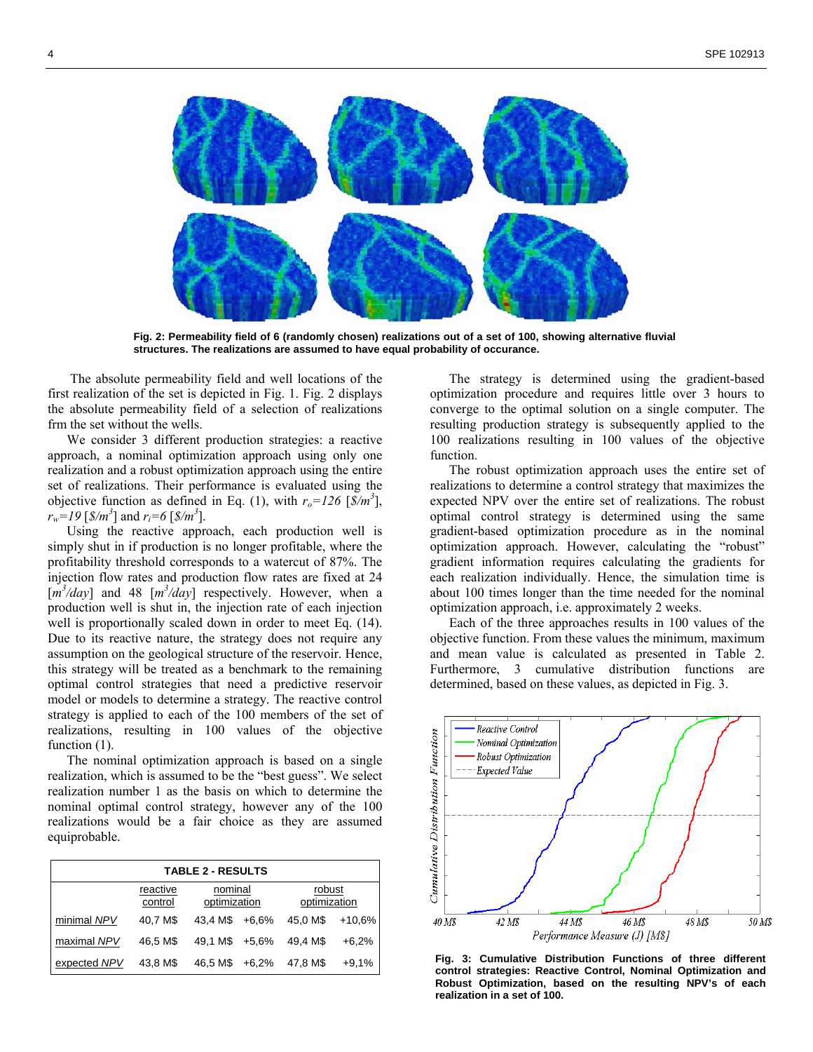

**Fig. 2: Permeability field of 6 (randomly chosen) realizations out of a set of 100, showing alternative fluvial structures. The realizations are assumed to have equal probability of occurance.** 

 The absolute permeability field and well locations of the first realization of the set is depicted in Fig. 1. Fig. 2 displays the absolute permeability field of a selection of realizations frm the set without the wells.

We consider 3 different production strategies: a reactive approach, a nominal optimization approach using only one realization and a robust optimization approach using the entire set of realizations. Their performance is evaluated using the objective function as defined in Eq. (1), with  $r_o = 126$  [ $\frac{5}{m^3}$ ], *rw=19* [*\$/m<sup>3</sup>* ] and *ri=6* [*\$/m<sup>3</sup>* ].

Using the reactive approach, each production well is simply shut in if production is no longer profitable, where the profitability threshold corresponds to a watercut of 87%. The injection flow rates and production flow rates are fixed at 24  $[m^3/day]$  and 48  $[m^3/day]$  respectively. However, when a production well is shut in, the injection rate of each injection well is proportionally scaled down in order to meet Eq.  $(14)$ . Due to its reactive nature, the strategy does not require any assumption on the geological structure of the reservoir. Hence, this strategy will be treated as a benchmark to the remaining optimal control strategies that need a predictive reservoir model or models to determine a strategy. The reactive control strategy is applied to each of the 100 members of the set of realizations, resulting in 100 values of the objective function  $(1)$ .

The nominal optimization approach is based on a single realization, which is assumed to be the "best guess". We select realization number 1 as the basis on which to determine the nominal optimal control strategy, however any of the 100 realizations would be a fair choice as they are assumed equiprobable.

|              |                     | <b>TABLE 2 - RESULTS</b> |         |                        |          |
|--------------|---------------------|--------------------------|---------|------------------------|----------|
|              | reactive<br>control | nominal<br>optimization  |         | robust<br>optimization |          |
| minimal NPV  | 40.7 M\$            | 43.4 M\$                 | +6.6%   | 45.0 MS                | $+10,6%$ |
| maximal NPV  | 46.5 M\$            | 49.1 M\$                 | $+5.6%$ | 49.4 M\$               | $+6.2%$  |
| expected NPV | 43.8 M\$            | 46.5 M\$                 | $+6.2%$ | 47.8 M\$               | $+9,1%$  |

The strategy is determined using the gradient-based optimization procedure and requires little over 3 hours to converge to the optimal solution on a single computer. The resulting production strategy is subsequently applied to the 100 realizations resulting in 100 values of the objective function.

The robust optimization approach uses the entire set of realizations to determine a control strategy that maximizes the expected NPV over the entire set of realizations. The robust optimal control strategy is determined using the same gradient-based optimization procedure as in the nominal optimization approach. However, calculating the "robust" gradient information requires calculating the gradients for each realization individually. Hence, the simulation time is about 100 times longer than the time needed for the nominal optimization approach, i.e. approximately 2 weeks.

Each of the three approaches results in 100 values of the objective function. From these values the minimum, maximum and mean value is calculated as presented in Table 2. Furthermore, 3 cumulative distribution functions are determined, based on these values, as depicted in Fig. 3.



**Fig. 3: Cumulative Distribution Functions of three different control strategies: Reactive Control, Nominal Optimization and Robust Optimization, based on the resulting NPV's of each realization in a set of 100.**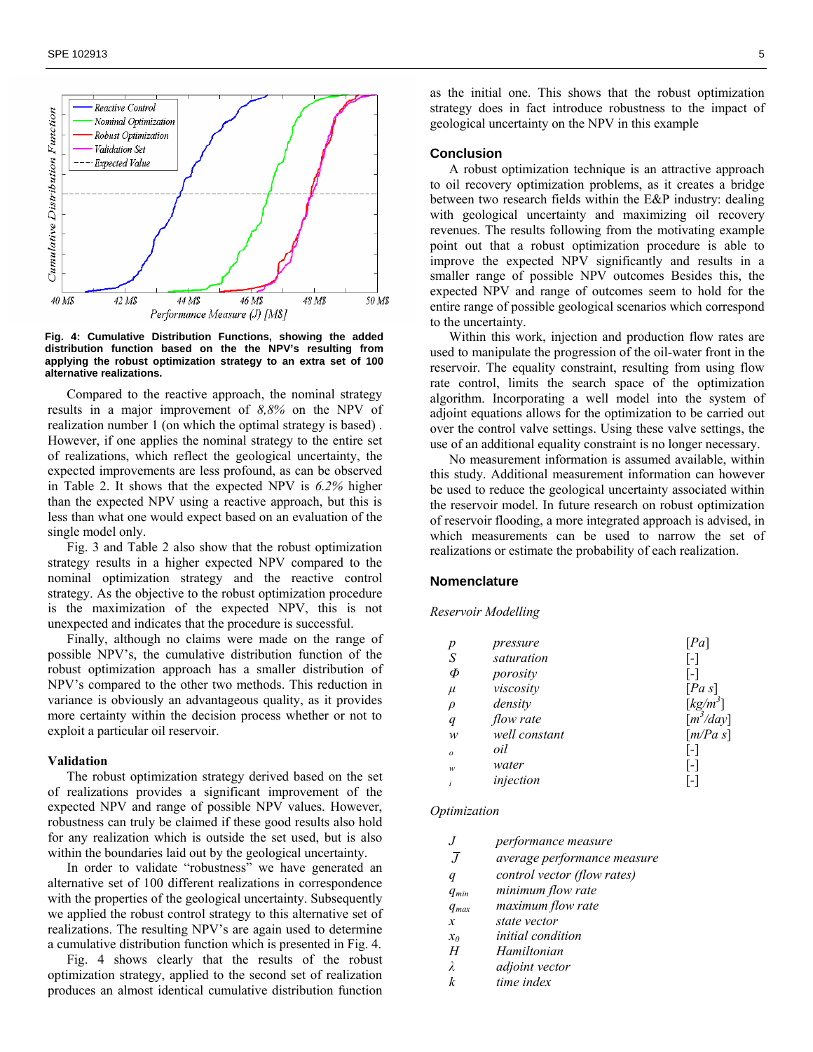

**Fig. 4: Cumulative Distribution Functions, showing the added distribution function based on the the NPV's resulting from applying the robust optimization strategy to an extra set of 100 alternative realizations.** 

Compared to the reactive approach, the nominal strategy results in a major improvement of *8,8%* on the NPV of realization number 1 (on which the optimal strategy is based) . However, if one applies the nominal strategy to the entire set of realizations, which reflect the geological uncertainty, the expected improvements are less profound, as can be observed in Table 2. It shows that the expected NPV is *6.2%* higher than the expected NPV using a reactive approach, but this is less than what one would expect based on an evaluation of the single model only.

Fig. 3 and Table 2 also show that the robust optimization strategy results in a higher expected NPV compared to the nominal optimization strategy and the reactive control strategy. As the objective to the robust optimization procedure is the maximization of the expected NPV, this is not unexpected and indicates that the procedure is successful.

Finally, although no claims were made on the range of possible NPV's, the cumulative distribution function of the robust optimization approach has a smaller distribution of NPV's compared to the other two methods. This reduction in variance is obviously an advantageous quality, as it provides more certainty within the decision process whether or not to exploit a particular oil reservoir.

### **Validation**

The robust optimization strategy derived based on the set of realizations provides a significant improvement of the expected NPV and range of possible NPV values. However, robustness can truly be claimed if these good results also hold for any realization which is outside the set used, but is also within the boundaries laid out by the geological uncertainty.

In order to validate "robustness" we have generated an alternative set of 100 different realizations in correspondence with the properties of the geological uncertainty. Subsequently we applied the robust control strategy to this alternative set of realizations. The resulting NPV's are again used to determine a cumulative distribution function which is presented in Fig. 4.

Fig. 4 shows clearly that the results of the robust optimization strategy, applied to the second set of realization produces an almost identical cumulative distribution function

as the initial one. This shows that the robust optimization strategy does in fact introduce robustness to the impact of geological uncertainty on the NPV in this example

#### **Conclusion**

A robust optimization technique is an attractive approach to oil recovery optimization problems, as it creates a bridge between two research fields within the E&P industry: dealing with geological uncertainty and maximizing oil recovery revenues. The results following from the motivating example point out that a robust optimization procedure is able to improve the expected NPV significantly and results in a smaller range of possible NPV outcomes Besides this, the expected NPV and range of outcomes seem to hold for the entire range of possible geological scenarios which correspond to the uncertainty.

Within this work, injection and production flow rates are used to manipulate the progression of the oil-water front in the reservoir. The equality constraint, resulting from using flow rate control, limits the search space of the optimization algorithm. Incorporating a well model into the system of adjoint equations allows for the optimization to be carried out over the control valve settings. Using these valve settings, the use of an additional equality constraint is no longer necessary.

No measurement information is assumed available, within this study. Additional measurement information can however be used to reduce the geological uncertainty associated within the reservoir model. In future research on robust optimization of reservoir flooding, a more integrated approach is advised, in which measurements can be used to narrow the set of realizations or estimate the probability of each realization.

#### **Nomenclature**

*Reservoir Modelling* 

| pressure   | Pa                     |
|------------|------------------------|
| saturation |                        |
| porosity   | l-l                    |
| viscosity  | [Pa s]                 |
| density    | $\left[kg/m^3\right]$  |
| flow rate  | $\left[m^3/day\right]$ |
|            | [m/Pa s]               |
| oil        | l-l                    |
| water      | $\vert$ – $\vert$      |
| injection  |                        |
|            | well constant          |

#### *Optimization*

|                | <i>performance measure</i>  |
|----------------|-----------------------------|
| $\overline{J}$ | average performance measure |
| q              | control vector (flow rates) |
| $q_{min}$      | minimum flow rate           |
| $q_{\rm max}$  | maximum flow rate           |
| x              | state vector                |
| $x_0$          | initial condition           |
| Η              | Hamiltonian                 |
| λ              | adjoint vector              |
| k              | time index                  |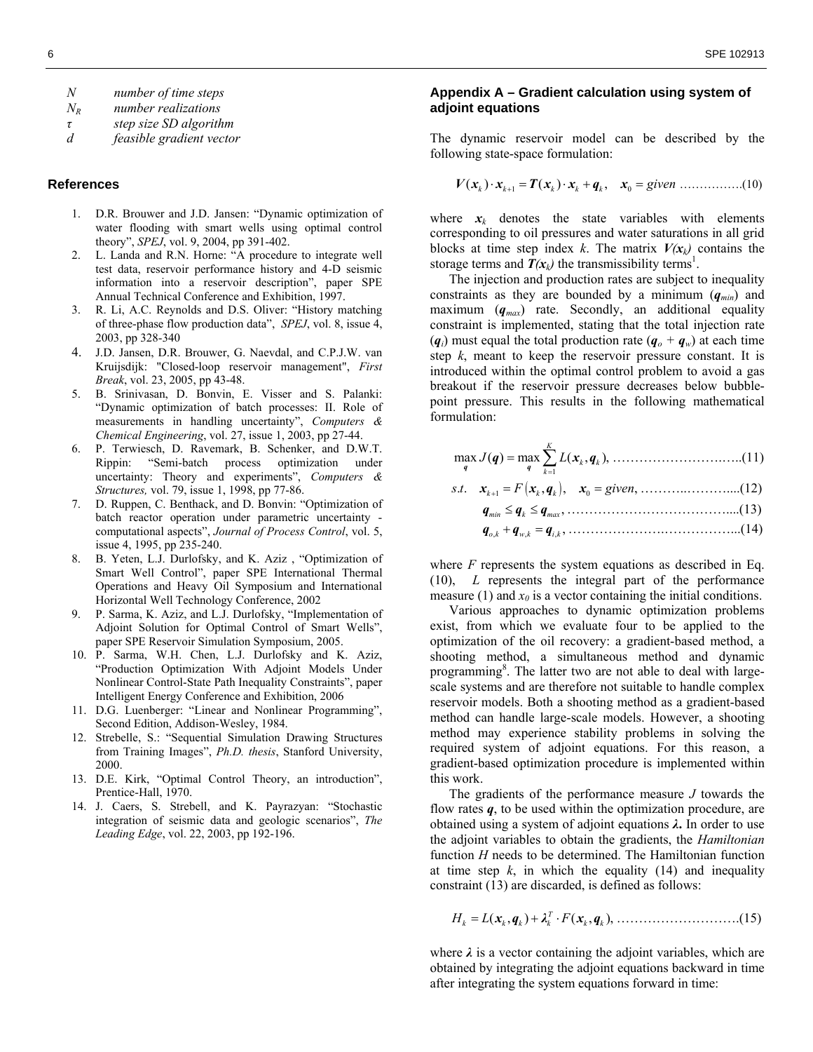- *N number of time steps*
- *NR number realizations*
- *τ step size SD algorithm*
- *d feasible gradient vector*

#### **References**

- 1. D.R. Brouwer and J.D. Jansen: "Dynamic optimization of water flooding with smart wells using optimal control theory", *SPEJ*, vol. 9, 2004, pp 391-402.
- 2. L. Landa and R.N. Horne: "A procedure to integrate well test data, reservoir performance history and 4-D seismic information into a reservoir description", paper SPE Annual Technical Conference and Exhibition, 1997.
- 3. R. Li, A.C. Reynolds and D.S. Oliver: "History matching of three-phase flow production data", *SPEJ*, vol. 8, issue 4, 2003, pp 328-340
- 4. J.D. Jansen, D.R. Brouwer, G. Naevdal, and C.P.J.W. van Kruijsdijk: "Closed-loop reservoir management", *First Break*, vol. 23, 2005, pp 43-48.
- 5. B. Srinivasan, D. Bonvin, E. Visser and S. Palanki: "Dynamic optimization of batch processes: II. Role of measurements in handling uncertainty", *Computers & Chemical Engineering*, vol. 27, issue 1, 2003, pp 27-44.
- 6. P. Terwiesch, D. Ravemark, B. Schenker, and D.W.T. Rippin: "Semi-batch process optimization under uncertainty: Theory and experiments", *Computers & Structures,* vol. 79, issue 1, 1998, pp 77-86.
- 7. D. Ruppen, C. Benthack, and D. Bonvin: "Optimization of batch reactor operation under parametric uncertainty computational aspects", *Journal of Process Control*, vol. 5, issue 4, 1995, pp 235-240.
- 8. B. Yeten, L.J. Durlofsky, and K. Aziz , "Optimization of Smart Well Control", paper SPE International Thermal Operations and Heavy Oil Symposium and International Horizontal Well Technology Conference, 2002
- 9. P. Sarma, K. Aziz, and L.J. Durlofsky, "Implementation of Adjoint Solution for Optimal Control of Smart Wells", paper SPE Reservoir Simulation Symposium, 2005.
- 10. P. Sarma, W.H. Chen, L.J. Durlofsky and K. Aziz, "Production Optimization With Adjoint Models Under Nonlinear Control-State Path Inequality Constraints", paper Intelligent Energy Conference and Exhibition, 2006
- 11. D.G. Luenberger: "Linear and Nonlinear Programming", Second Edition, Addison-Wesley, 1984.
- 12. Strebelle, S.: "Sequential Simulation Drawing Structures from Training Images", *Ph.D. thesis*, Stanford University, 2000.
- 13. D.E. Kirk, "Optimal Control Theory, an introduction", Prentice-Hall, 1970.
- 14. J. Caers, S. Strebell, and K. Payrazyan: "Stochastic integration of seismic data and geologic scenarios", *The Leading Edge*, vol. 22, 2003, pp 192-196.

### **Appendix A – Gradient calculation using system of adjoint equations**

The dynamic reservoir model can be described by the following state-space formulation:

1 0 () () , *kk kkk given* <sup>+</sup> *Vx x Tx x q x* ⋅ = ⋅+ = …………….(10)

where  $x_k$  denotes the state variables with elements corresponding to oil pressures and water saturations in all grid blocks at time step index *k*. The matrix  $V(x_k)$  contains the storage terms and  $\hat{T}(x_k)$  the transmissibility terms<sup>1</sup>.

The injection and production rates are subject to inequality constraints as they are bounded by a minimum  $(q_{min})$  and maximum (*qmax*) rate. Secondly, an additional equality constraint is implemented, stating that the total injection rate  $(q_i)$  must equal the total production rate  $(q_o + q_w)$  at each time step *k*, meant to keep the reservoir pressure constant. It is introduced within the optimal control problem to avoid a gas breakout if the reservoir pressure decreases below bubblepoint pressure. This results in the following mathematical formulation:

1 max ( ) max ( ) *K k k k J L* = <sup>=</sup> ∑ , , *q q q xq* …………………….…..(11)

( ) *k kk* 1 0 *s t F given* <sup>+</sup> . . = ,, = , *x xq x* ………..………....(12)

*q qq min k max* ≤ ≤ ,………………………………....(13)

*qq q ok wk ik* , + , , = , ………………….……………...(14)

where *F* represents the system equations as described in Eq. (10), *L* represents the integral part of the performance measure (1) and  $x_0$  is a vector containing the initial conditions.

Various approaches to dynamic optimization problems exist, from which we evaluate four to be applied to the optimization of the oil recovery: a gradient-based method, a shooting method, a simultaneous method and dynamic programming<sup>8</sup>. The latter two are not able to deal with largescale systems and are therefore not suitable to handle complex reservoir models. Both a shooting method as a gradient-based method can handle large-scale models. However, a shooting method may experience stability problems in solving the required system of adjoint equations. For this reason, a gradient-based optimization procedure is implemented within this work.

The gradients of the performance measure *J* towards the flow rates  $q$ , to be used within the optimization procedure, are obtained using a system of adjoint equations *λ***.** In order to use the adjoint variables to obtain the gradients, the *Hamiltonian* function *H* needs to be determined. The Hamiltonian function at time step  $k$ , in which the equality  $(14)$  and inequality constraint (13) are discarded, is defined as follows:

() () *<sup>T</sup> HL F k kk k kk* = *x q*, +⋅ ,, *λ x q* ……………………….(15)

where  $\lambda$  is a vector containing the adjoint variables, which are obtained by integrating the adjoint equations backward in time after integrating the system equations forward in time: